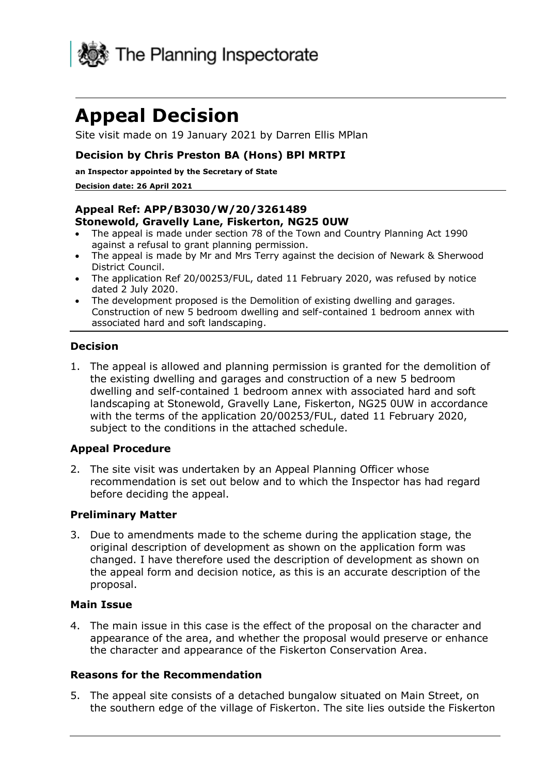

# **Appeal Decision**

Site visit made on 19 January 2021 by Darren Ellis MPlan

#### **Decision by Chris Preston BA (Hons) BPl MRTPI**

**an Inspector appointed by the Secretary of State** 

#### **Decision date: 26 April 2021**

#### **Appeal Ref: APP/B3030/W/20/3261489 Stonewold, Gravelly Lane, Fiskerton, NG25 0UW**

- The appeal is made under section 78 of the Town and Country Planning Act 1990 against a refusal to grant planning permission.
- The appeal is made by Mr and Mrs Terry against the decision of Newark & Sherwood District Council.
- The application Ref 20/00253/FUL, dated 11 February 2020, was refused by notice dated 2 July 2020.
- The development proposed is the Demolition of existing dwelling and garages. Construction of new 5 bedroom dwelling and self-contained 1 bedroom annex with associated hard and soft landscaping.

#### **Decision**

1. The appeal is allowed and planning permission is granted for the demolition of the existing dwelling and garages and construction of a new 5 bedroom dwelling and self-contained 1 bedroom annex with associated hard and soft landscaping at Stonewold, Gravelly Lane, Fiskerton, NG25 0UW in accordance with the terms of the application 20/00253/FUL, dated 11 February 2020, subject to the conditions in the attached schedule.

#### **Appeal Procedure**

2. The site visit was undertaken by an Appeal Planning Officer whose recommendation is set out below and to which the Inspector has had regard before deciding the appeal.

#### **Preliminary Matter**

3. Due to amendments made to the scheme during the application stage, the original description of development as shown on the application form was changed. I have therefore used the description of development as shown on the appeal form and decision notice, as this is an accurate description of the proposal.

#### **Main Issue**

4. The main issue in this case is the effect of the proposal on the character and appearance of the area, and whether the proposal would preserve or enhance the character and appearance of the Fiskerton Conservation Area.

#### **Reasons for the Recommendation**

5. The appeal site consists of a detached bungalow situated on Main Street, on the southern edge of the village of Fiskerton. The site lies outside the Fiskerton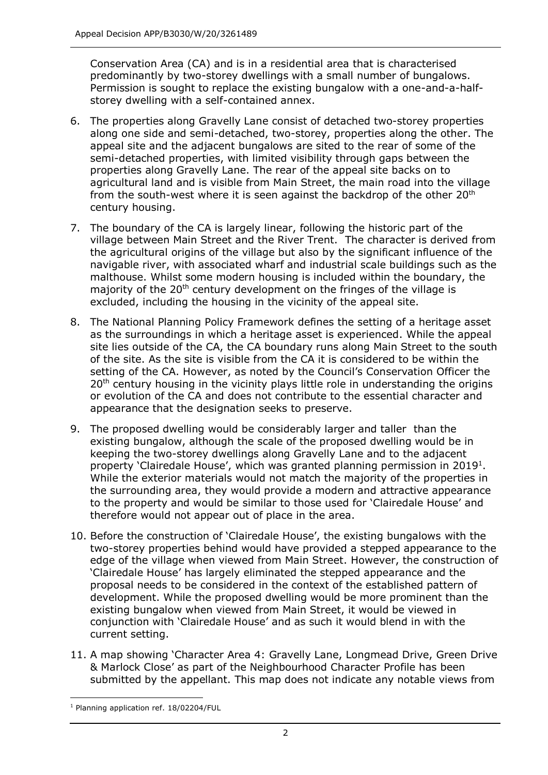Conservation Area (CA) and is in a residential area that is characterised predominantly by two-storey dwellings with a small number of bungalows. Permission is sought to replace the existing bungalow with a one-and-a-halfstorey dwelling with a self-contained annex.

- 6. The properties along Gravelly Lane consist of detached two-storey properties along one side and semi-detached, two-storey, properties along the other. The appeal site and the adjacent bungalows are sited to the rear of some of the semi-detached properties, with limited visibility through gaps between the properties along Gravelly Lane. The rear of the appeal site backs on to agricultural land and is visible from Main Street, the main road into the village from the south-west where it is seen against the backdrop of the other 20<sup>th</sup> century housing.
- 7. The boundary of the CA is largely linear, following the historic part of the village between Main Street and the River Trent. The character is derived from the agricultural origins of the village but also by the significant influence of the navigable river, with associated wharf and industrial scale buildings such as the malthouse. Whilst some modern housing is included within the boundary, the majority of the 20<sup>th</sup> century development on the fringes of the village is excluded, including the housing in the vicinity of the appeal site.
- 8. The National Planning Policy Framework defines the setting of a heritage asset as the surroundings in which a heritage asset is experienced. While the appeal site lies outside of the CA, the CA boundary runs along Main Street to the south of the site. As the site is visible from the CA it is considered to be within the setting of the CA. However, as noted by the Council's Conservation Officer the 20<sup>th</sup> century housing in the vicinity plays little role in understanding the origins or evolution of the CA and does not contribute to the essential character and appearance that the designation seeks to preserve.
- 9. The proposed dwelling would be considerably larger and taller than the existing bungalow, although the scale of the proposed dwelling would be in keeping the two-storey dwellings along Gravelly Lane and to the adjacent property 'Clairedale House', which was granted planning permission in 2019<sup>1</sup>. While the exterior materials would not match the majority of the properties in the surrounding area, they would provide a modern and attractive appearance to the property and would be similar to those used for 'Clairedale House' and therefore would not appear out of place in the area.
- 10. Before the construction of 'Clairedale House', the existing bungalows with the two-storey properties behind would have provided a stepped appearance to the edge of the village when viewed from Main Street. However, the construction of 'Clairedale House' has largely eliminated the stepped appearance and the proposal needs to be considered in the context of the established pattern of development. While the proposed dwelling would be more prominent than the existing bungalow when viewed from Main Street, it would be viewed in conjunction with 'Clairedale House' and as such it would blend in with the current setting.
- 11. A map showing 'Character Area 4: Gravelly Lane, Longmead Drive, Green Drive & Marlock Close' as part of the Neighbourhood Character Profile has been submitted by the appellant. This map does not indicate any notable views from

<sup>1</sup> Planning application ref. 18/02204/FUL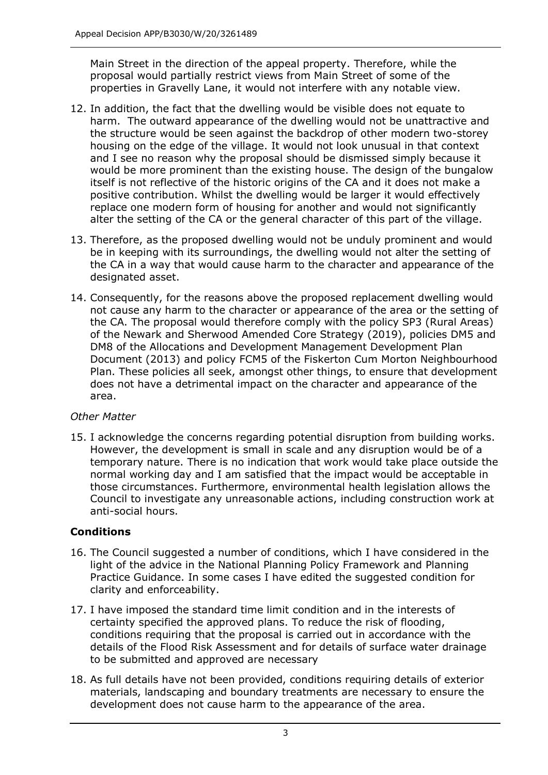Main Street in the direction of the appeal property. Therefore, while the proposal would partially restrict views from Main Street of some of the properties in Gravelly Lane, it would not interfere with any notable view.

- 12. In addition, the fact that the dwelling would be visible does not equate to harm. The outward appearance of the dwelling would not be unattractive and the structure would be seen against the backdrop of other modern two-storey housing on the edge of the village. It would not look unusual in that context and I see no reason why the proposal should be dismissed simply because it would be more prominent than the existing house. The design of the bungalow itself is not reflective of the historic origins of the CA and it does not make a positive contribution. Whilst the dwelling would be larger it would effectively replace one modern form of housing for another and would not significantly alter the setting of the CA or the general character of this part of the village.
- 13. Therefore, as the proposed dwelling would not be unduly prominent and would be in keeping with its surroundings, the dwelling would not alter the setting of the CA in a way that would cause harm to the character and appearance of the designated asset.
- 14. Consequently, for the reasons above the proposed replacement dwelling would not cause any harm to the character or appearance of the area or the setting of the CA. The proposal would therefore comply with the policy SP3 (Rural Areas) of the Newark and Sherwood Amended Core Strategy (2019), policies DM5 and DM8 of the Allocations and Development Management Development Plan Document (2013) and policy FCM5 of the Fiskerton Cum Morton Neighbourhood Plan. These policies all seek, amongst other things, to ensure that development does not have a detrimental impact on the character and appearance of the area.

# *Other Matter*

15. I acknowledge the concerns regarding potential disruption from building works. However, the development is small in scale and any disruption would be of a temporary nature. There is no indication that work would take place outside the normal working day and I am satisfied that the impact would be acceptable in those circumstances. Furthermore, environmental health legislation allows the Council to investigate any unreasonable actions, including construction work at anti-social hours.

# **Conditions**

- 16. The Council suggested a number of conditions, which I have considered in the light of the advice in the National Planning Policy Framework and Planning Practice Guidance. In some cases I have edited the suggested condition for clarity and enforceability.
- 17. I have imposed the standard time limit condition and in the interests of certainty specified the approved plans. To reduce the risk of flooding, conditions requiring that the proposal is carried out in accordance with the details of the Flood Risk Assessment and for details of surface water drainage to be submitted and approved are necessary
- 18. As full details have not been provided, conditions requiring details of exterior materials, landscaping and boundary treatments are necessary to ensure the development does not cause harm to the appearance of the area.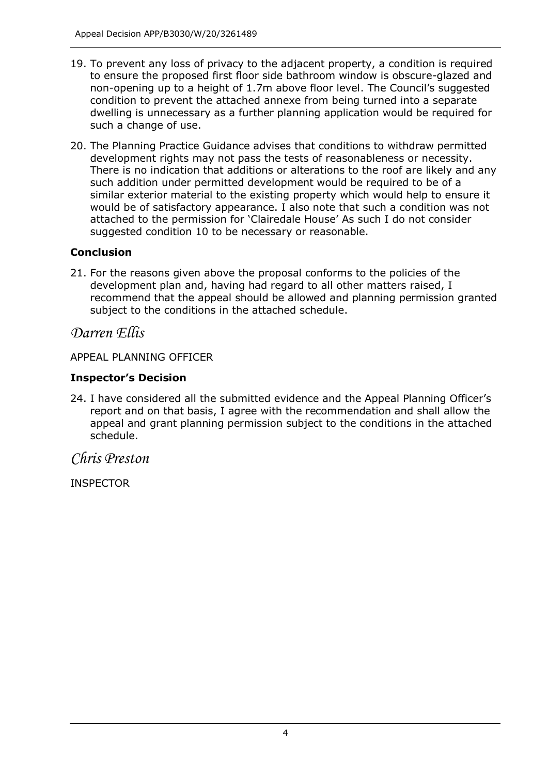- 19. To prevent any loss of privacy to the adjacent property, a condition is required to ensure the proposed first floor side bathroom window is obscure-glazed and non-opening up to a height of 1.7m above floor level. The Council's suggested condition to prevent the attached annexe from being turned into a separate dwelling is unnecessary as a further planning application would be required for such a change of use.
- 20. The Planning Practice Guidance advises that conditions to withdraw permitted development rights may not pass the tests of reasonableness or necessity. There is no indication that additions or alterations to the roof are likely and any such addition under permitted development would be required to be of a similar exterior material to the existing property which would help to ensure it would be of satisfactory appearance. I also note that such a condition was not attached to the permission for 'Clairedale House' As such I do not consider suggested condition 10 to be necessary or reasonable.

# **Conclusion**

21. For the reasons given above the proposal conforms to the policies of the development plan and, having had regard to all other matters raised, I recommend that the appeal should be allowed and planning permission granted subject to the conditions in the attached schedule.

# *Darren Ellis*

APPEAL PLANNING OFFICER

### **Inspector's Decision**

24. I have considered all the submitted evidence and the Appeal Planning Officer's report and on that basis, I agree with the recommendation and shall allow the appeal and grant planning permission subject to the conditions in the attached schedule.

# *Chris Preston*

INSPECTOR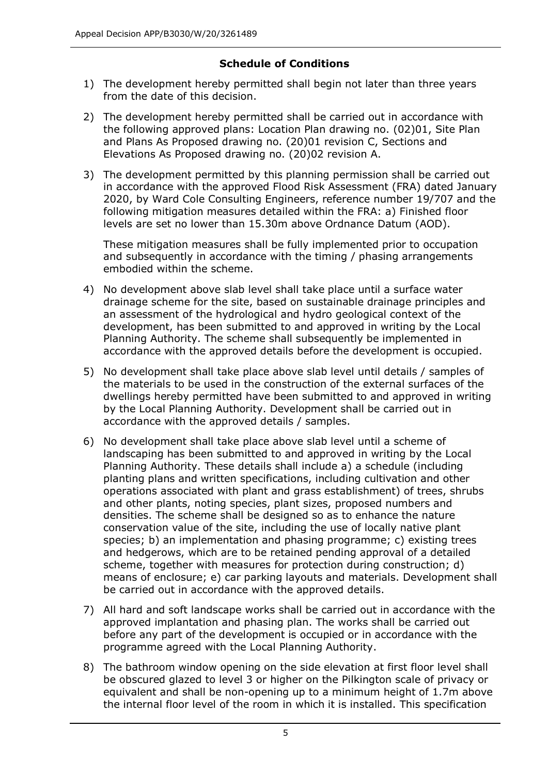# **Schedule of Conditions**

- 1) The development hereby permitted shall begin not later than three years from the date of this decision.
- 2) The development hereby permitted shall be carried out in accordance with the following approved plans: Location Plan drawing no. (02)01, Site Plan and Plans As Proposed drawing no. (20)01 revision C, Sections and Elevations As Proposed drawing no. (20)02 revision A.
- 3) The development permitted by this planning permission shall be carried out in accordance with the approved Flood Risk Assessment (FRA) dated January 2020, by Ward Cole Consulting Engineers, reference number 19/707 and the following mitigation measures detailed within the FRA: a) Finished floor levels are set no lower than 15.30m above Ordnance Datum (AOD).

These mitigation measures shall be fully implemented prior to occupation and subsequently in accordance with the timing / phasing arrangements embodied within the scheme.

- 4) No development above slab level shall take place until a surface water drainage scheme for the site, based on sustainable drainage principles and an assessment of the hydrological and hydro geological context of the development, has been submitted to and approved in writing by the Local Planning Authority. The scheme shall subsequently be implemented in accordance with the approved details before the development is occupied.
- 5) No development shall take place above slab level until details / samples of the materials to be used in the construction of the external surfaces of the dwellings hereby permitted have been submitted to and approved in writing by the Local Planning Authority. Development shall be carried out in accordance with the approved details / samples.
- 6) No development shall take place above slab level until a scheme of landscaping has been submitted to and approved in writing by the Local Planning Authority. These details shall include a) a schedule (including planting plans and written specifications, including cultivation and other operations associated with plant and grass establishment) of trees, shrubs and other plants, noting species, plant sizes, proposed numbers and densities. The scheme shall be designed so as to enhance the nature conservation value of the site, including the use of locally native plant species; b) an implementation and phasing programme; c) existing trees and hedgerows, which are to be retained pending approval of a detailed scheme, together with measures for protection during construction; d) means of enclosure; e) car parking layouts and materials. Development shall be carried out in accordance with the approved details.
- 7) All hard and soft landscape works shall be carried out in accordance with the approved implantation and phasing plan. The works shall be carried out before any part of the development is occupied or in accordance with the programme agreed with the Local Planning Authority.
- 8) The bathroom window opening on the side elevation at first floor level shall be obscured glazed to level 3 or higher on the Pilkington scale of privacy or equivalent and shall be non-opening up to a minimum height of 1.7m above the internal floor level of the room in which it is installed. This specification